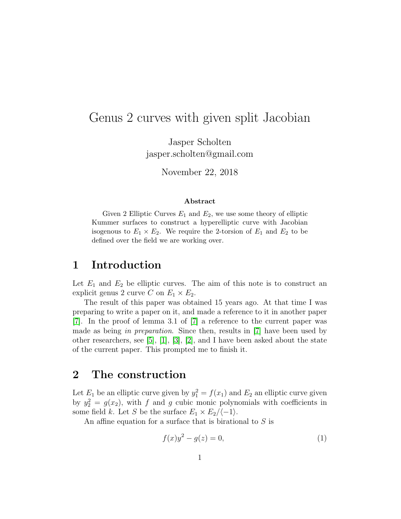# Genus 2 curves with given split Jacobian

Jasper Scholten jasper.scholten@gmail.com

November 22, 2018

#### Abstract

Given 2 Elliptic Curves  $E_1$  and  $E_2$ , we use some theory of elliptic Kummer surfaces to construct a hyperelliptic curve with Jacobian isogenous to  $E_1 \times E_2$ . We require the 2-torsion of  $E_1$  and  $E_2$  to be defined over the field we are working over.

#### 1 Introduction

Let  $E_1$  and  $E_2$  be elliptic curves. The aim of this note is to construct an explicit genus 2 curve C on  $E_1 \times E_2$ .

The result of this paper was obtained 15 years ago. At that time I was preparing to write a paper on it, and made a reference to it in another paper [\[7\]](#page-9-0). In the proof of lemma 3.1 of [\[7\]](#page-9-0) a reference to the current paper was made as being in preparation. Since then, results in [\[7\]](#page-9-0) have been used by other researchers, see [\[5\]](#page-8-0), [\[1\]](#page-8-1), [\[3\]](#page-8-2), [\[2\]](#page-8-3), and I have been asked about the state of the current paper. This prompted me to finish it.

### 2 The construction

Let  $E_1$  be an elliptic curve given by  $y_1^2 = f(x_1)$  and  $E_2$  an elliptic curve given by  $y_2^2 = g(x_2)$ , with f and g cubic monic polynomials with coefficients in some field k. Let S be the surface  $E_1 \times E_2/\langle -1 \rangle$ .

An affine equation for a surface that is birational to S is

<span id="page-0-0"></span>
$$
f(x)y^{2} - g(z) = 0,
$$
 (1)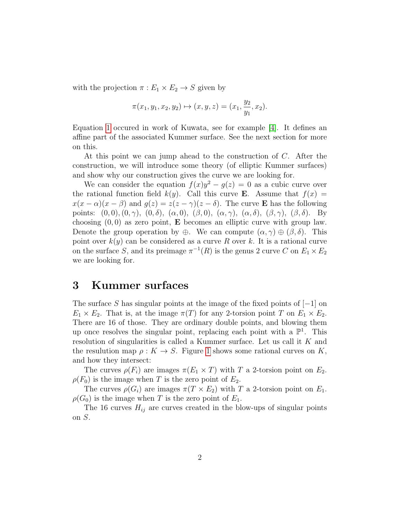with the projection  $\pi : E_1 \times E_2 \to S$  given by

$$
\pi(x_1, y_1, x_2, y_2) \mapsto (x, y, z) = (x_1, \frac{y_2}{y_1}, x_2).
$$

Equation [1](#page-0-0) occured in work of Kuwata, see for example [\[4\]](#page-8-4). It defines an affine part of the associated Kummer surface. See the next section for more on this.

At this point we can jump ahead to the construction of C. After the construction, we will introduce some theory (of elliptic Kummer surfaces) and show why our construction gives the curve we are looking for.

We can consider the equation  $f(x)y^2 - g(z) = 0$  as a cubic curve over the rational function field  $k(y)$ . Call this curve **E**. Assume that  $f(x) =$  $x(x - \alpha)(x - \beta)$  and  $g(z) = z(z - \gamma)(z - \delta)$ . The curve **E** has the following points:  $(0,0), (0,\gamma), (0,\delta), (\alpha,0), (\beta,0), (\alpha,\gamma), (\alpha,\delta), (\beta,\gamma), (\beta,\delta)$ . By choosing  $(0, 0)$  as zero point, **E** becomes an elliptic curve with group law. Denote the group operation by ⊕. We can compute  $(\alpha, \gamma) \oplus (\beta, \delta)$ . This point over  $k(y)$  can be considered as a curve R over k. It is a rational curve on the surface S, and its preimage  $\pi^{-1}(R)$  is the genus 2 curve C on  $E_1 \times E_2$ we are looking for.

#### 3 Kummer surfaces

The surface S has singular points at the image of the fixed points of  $[-1]$  on  $E_1 \times E_2$ . That is, at the image  $\pi(T)$  for any 2-torsion point T on  $E_1 \times E_2$ . There are 16 of those. They are ordinary double points, and blowing them up once resolves the singular point, replacing each point with a  $\mathbb{P}^1$ . This resolution of singularities is called a Kummer surface. Let us call it K and the resulution map  $\rho: K \to S$ . Figure [1](#page-2-0) shows some rational curves on K, and how they intersect:

The curves  $\rho(F_i)$  are images  $\pi(E_1 \times T)$  with T a 2-torsion point on  $E_2$ .  $\rho(F_0)$  is the image when T is the zero point of  $E_2$ .

The curves  $\rho(G_i)$  are images  $\pi(T \times E_2)$  with T a 2-torsion point on  $E_1$ .  $\rho(G_0)$  is the image when T is the zero point of  $E_1$ .

The 16 curves  $H_{ij}$  are curves created in the blow-ups of singular points on S.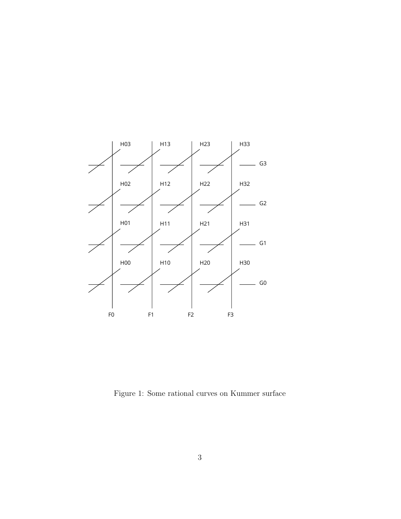

<span id="page-2-0"></span>Figure 1: Some rational curves on Kummer surface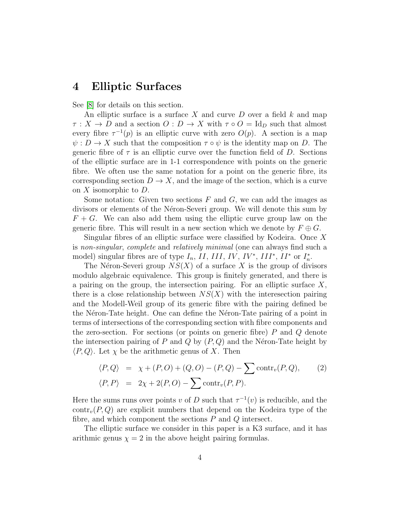### 4 Elliptic Surfaces

See [\[8\]](#page-9-1) for details on this section.

An elliptic surface is a surface X and curve  $D$  over a field  $k$  and map  $\tau: X \to D$  and a section  $O: D \to X$  with  $\tau \circ O = \mathrm{Id}_D$  such that almost every fibre  $\tau^{-1}(p)$  is an elliptic curve with zero  $O(p)$ . A section is a map  $\psi : D \to X$  such that the composition  $\tau \circ \psi$  is the identity map on D. The generic fibre of  $\tau$  is an elliptic curve over the function field of D. Sections of the elliptic surface are in 1-1 correspondence with points on the generic fibre. We often use the same notation for a point on the generic fibre, its corresponding section  $D \to X$ , and the image of the section, which is a curve on  $X$  isomorphic to  $D$ .

Some notation: Given two sections  $F$  and  $G$ , we can add the images as divisors or elements of the Néron-Severi group. We will denote this sum by  $F + G$ . We can also add them using the elliptic curve group law on the generic fibre. This will result in a new section which we denote by  $F \oplus G$ .

Singular fibres of an elliptic surface were classified by Kodeira. Once  $X$ is non-singular, complete and relatively minimal (one can always find such a model) singular fibres are of type  $I_n$ ,  $II$ ,  $III$ ,  $IV$ ,  $IV^*$ ,  $III^*$ ,  $II^*$  or  $I_n^*$ .

The Néron-Severi group  $NS(X)$  of a surface X is the group of divisors modulo algebraic equivalence. This group is finitely generated, and there is a pairing on the group, the intersection pairing. For an elliptic surface  $X$ , there is a close relationship between  $NS(X)$  with the interesection pairing and the Modell-Weil group of its generic fibre with the pairing defined be the Néron-Tate height. One can define the Néron-Tate pairing of a point in terms of intersections of the corresponding section with fibre components and the zero-section. For sections (or points on generic fibre)  $P$  and  $Q$  denote the intersection pairing of P and Q by  $(P, Q)$  and the Néron-Tate height by  $\langle P, Q \rangle$ . Let  $\chi$  be the arithmetic genus of X. Then

<span id="page-3-0"></span>
$$
\langle P, Q \rangle = \chi + (P, O) + (Q, O) - (P, Q) - \sum \text{contr}_v(P, Q), \qquad (2)
$$
  

$$
\langle P, P \rangle = 2\chi + 2(P, O) - \sum \text{contr}_v(P, P).
$$

Here the sums runs over points v of D such that  $\tau^{-1}(v)$  is reducible, and the  $\text{contr}_{v}(P,Q)$  are explicit numbers that depend on the Kodeira type of the fibre, and which component the sections  $P$  and  $Q$  intersect.

The elliptic surface we consider in this paper is a K3 surface, and it has arithmic genus  $\chi = 2$  in the above height pairing formulas.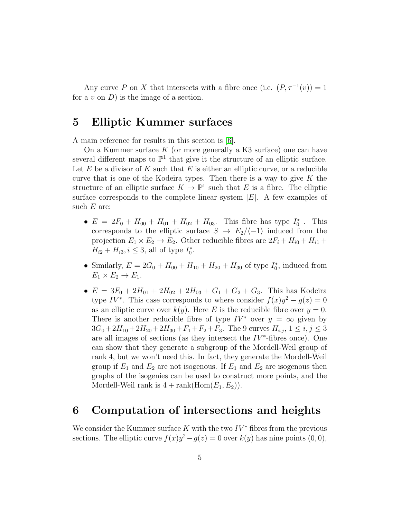Any curve P on X that intersects with a fibre once (i.e.  $(P, \tau^{-1}(v)) = 1$ for a  $v$  on  $D$ ) is the image of a section.

### 5 Elliptic Kummer surfaces

A main reference for results in this section is [\[6\]](#page-8-5).

On a Kummer surface  $K$  (or more generally a K3 surface) one can have several different maps to  $\mathbb{P}^1$  that give it the structure of an elliptic surface. Let  $E$  be a divisor of  $K$  such that  $E$  is either an elliptic curve, or a reducible curve that is one of the Kodeira types. Then there is a way to give  $K$  the structure of an elliptic surface  $K \to \mathbb{P}^1$  such that E is a fibre. The elliptic surface corresponds to the complete linear system  $|E|$ . A few examples of such  $E$  are:

- $E = 2F_0 + H_{00} + H_{01} + H_{02} + H_{03}$ . This fibre has type  $I_0^*$ . This corresponds to the elliptic surface  $S \rightarrow E_2/\langle -1 \rangle$  induced from the projection  $E_1 \times E_2 \to E_2$ . Other reducible fibres are  $2F_i + H_{i0} + H_{i1} +$  $H_{i2} + H_{i3}, i \leq 3$ , all of type  $I_0^*$ .
- Similarly,  $E = 2G_0 + H_{00} + H_{10} + H_{20} + H_{30}$  of type  $I_0^*$ , induced from  $E_1 \times E_2 \rightarrow E_1$ .
- $E = 3F_0 + 2H_{01} + 2H_{02} + 2H_{03} + G_1 + G_2 + G_3$ . This has Kodeira type  $IV^*$ . This case corresponds to where consider  $f(x)y^2 - g(z) = 0$ as an elliptic curve over  $k(y)$ . Here E is the reducible fibre over  $y = 0$ . There is another reducible fibre of type  $IV^*$  over  $y = \infty$  given by  $3G_0+2H_{10}+2H_{20}+2H_{30}+F_1+F_2+F_3$ . The 9 curves  $H_{i,j}$ ,  $1 \le i,j \le 3$ are all images of sections (as they intersect the  $IV^*$ -fibres once). One can show that they generate a subgroup of the Mordell-Weil group of rank 4, but we won't need this. In fact, they generate the Mordell-Weil group if  $E_1$  and  $E_2$  are not isogenous. If  $E_1$  and  $E_2$  are isogenous then graphs of the isogenies can be used to construct more points, and the Mordell-Weil rank is  $4 + \text{rank}(\text{Hom}(E_1, E_2)).$

#### 6 Computation of intersections and heights

We consider the Kummer surface K with the two  $IV^*$  fibres from the previous sections. The elliptic curve  $f(x)y^2 - g(z) = 0$  over  $k(y)$  has nine points  $(0,0)$ ,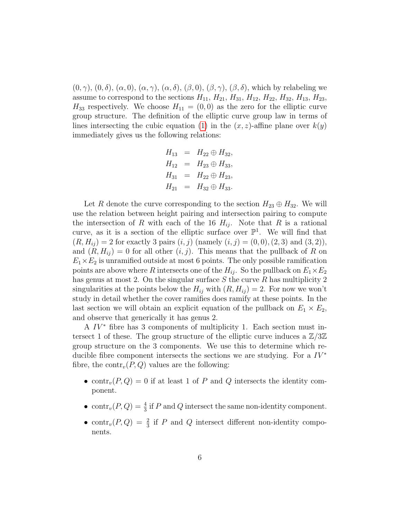$(0, \gamma)$ ,  $(0, \delta)$ ,  $(\alpha, 0)$ ,  $(\alpha, \gamma)$ ,  $(\alpha, \delta)$ ,  $(\beta, 0)$ ,  $(\beta, \gamma)$ ,  $(\beta, \delta)$ , which by relabeling we assume to correspond to the sections  $H_{11}$ ,  $H_{21}$ ,  $H_{31}$ ,  $H_{12}$ ,  $H_{22}$ ,  $H_{32}$ ,  $H_{13}$ ,  $H_{23}$ ,  $H_{33}$  respectively. We choose  $H_{11} = (0,0)$  as the zero for the elliptic curve group structure. The definition of the elliptic curve group law in terms of lines intersecting the cubic equation [\(1\)](#page-0-0) in the  $(x, z)$ -affine plane over  $k(y)$ immediately gives us the following relations:

$$
H_{13} = H_{22} \oplus H_{32},
$$
  
\n
$$
H_{12} = H_{23} \oplus H_{33},
$$
  
\n
$$
H_{31} = H_{22} \oplus H_{23},
$$
  
\n
$$
H_{21} = H_{32} \oplus H_{33}.
$$

Let R denote the curve corresponding to the section  $H_{23} \oplus H_{32}$ . We will use the relation between height pairing and intersection pairing to compute the intersection of R with each of the 16  $H_{ij}$ . Note that R is a rational curve, as it is a section of the elliptic surface over  $\mathbb{P}^1$ . We will find that  $(R, H_{ij}) = 2$  for exactly 3 pairs  $(i, j)$  (namely  $(i, j) = (0, 0), (2, 3)$  and  $(3, 2)$ ), and  $(R, H_{ij}) = 0$  for all other  $(i, j)$ . This means that the pullback of R on  $E_1\times E_2$  is unramified outside at most 6 points. The only possible ramification points are above where R intersects one of the  $H_{ij}$ . So the pullback on  $E_1 \times E_2$ has genus at most 2. On the singular surface  $S$  the curve  $R$  has multiplicity 2 singularities at the points below the  $H_{ij}$  with  $(R, H_{ij}) = 2$ . For now we won't study in detail whether the cover ramifies does ramify at these points. In the last section we will obtain an explicit equation of the pullback on  $E_1 \times E_2$ , and observe that generically it has genus 2.

A  $IV^*$  fibre has 3 components of multiplicity 1. Each section must intersect 1 of these. The group structure of the elliptic curve induces a  $\mathbb{Z}/3\mathbb{Z}$ group structure on the 3 components. We use this to determine which reducible fibre component intersects the sections we are studying. For a  $IV^*$ fibre, the contr<sub>v</sub> $(P,Q)$  values are the following:

- contr<sub>v</sub> $(P,Q) = 0$  if at least 1 of P and Q intersects the identity component.
- contr<sub>v</sub> $(P,Q) = \frac{4}{3}$  if P and Q intersect the same non-identity component.
- contr<sub>v</sub> $(P,Q) = \frac{2}{3}$  if P and Q intersect different non-identity components.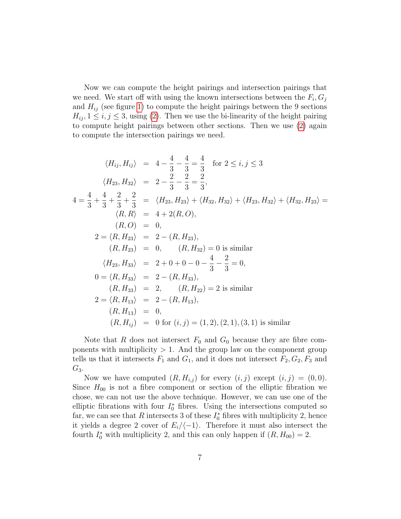Now we can compute the height pairings and intersection pairings that we need. We start off with using the known intersections between the  $F_i, G_j$ and  $H_{ij}$  (see figure [1\)](#page-2-0) to compute the height pairings between the 9 sections  $H_{ij}$ ,  $1 \leq i, j \leq 3$ , using [\(2\)](#page-3-0). Then we use the bi-linearity of the height pairing to compute height pairings between other sections. Then we use [\(2\)](#page-3-0) again to compute the intersection pairings we need.

$$
\langle H_{ij}, H_{ij} \rangle = 4 - \frac{4}{3} - \frac{4}{3} = \frac{4}{3} \quad \text{for } 2 \le i, j \le 3
$$
\n
$$
\langle H_{23}, H_{32} \rangle = 2 - \frac{2}{3} - \frac{2}{3} = \frac{2}{3},
$$
\n
$$
4 = \frac{4}{3} + \frac{4}{3} + \frac{2}{3} + \frac{2}{3} = \langle H_{23}, H_{23} \rangle + \langle H_{32}, H_{32} \rangle + \langle H_{23}, H_{32} \rangle + \langle H_{32}, H_{23} \rangle =
$$
\n
$$
\langle R, R \rangle = 4 + 2(R, O),
$$
\n
$$
(R, O) = 0,
$$
\n
$$
2 = \langle R, H_{23} \rangle = 2 - (R, H_{23}),
$$
\n
$$
(R, H_{23}) = 0, \quad (R, H_{32}) = 0 \text{ is similar}
$$
\n
$$
\langle H_{23}, H_{33} \rangle = 2 + 0 + 0 - 0 - \frac{4}{3} - \frac{2}{3} = 0,
$$
\n
$$
0 = \langle R, H_{33} \rangle = 2 - (R, H_{33}),
$$
\n
$$
(R, H_{33}) = 2, \quad (R, H_{22}) = 2 \text{ is similar}
$$
\n
$$
2 = \langle R, H_{13} \rangle = 2 - (R, H_{13}),
$$
\n
$$
(R, H_{13}) = 0,
$$
\n
$$
(R, H_{ij}) = 0 \text{ for } (i, j) = (1, 2), (2, 1), (3, 1) \text{ is similar}
$$

Note that R does not intersect  $F_0$  and  $G_0$  because they are fibre components with multiplicity  $> 1$ . And the group law on the component group tells us that it intersects  $F_1$  and  $G_1$ , and it does not intersect  $F_2, G_2, F_3$  and  $G_3$ .

Now we have computed  $(R, H_{i,j})$  for every  $(i, j)$  except  $(i, j) = (0, 0)$ . Since  $H_{00}$  is not a fibre component or section of the elliptic fibration we chose, we can not use the above technique. However, we can use one of the elliptic fibrations with four  $I_0^*$  fibres. Using the intersections computed so far, we can see that R intersects 3 of these  $I_0^*$  fibres with multiplicity 2, hence it yields a degree 2 cover of  $E_i/(-1)$ . Therefore it must also intersect the fourth  $I_0^*$  with multiplicity 2, and this can only happen if  $(R, H_{00}) = 2$ .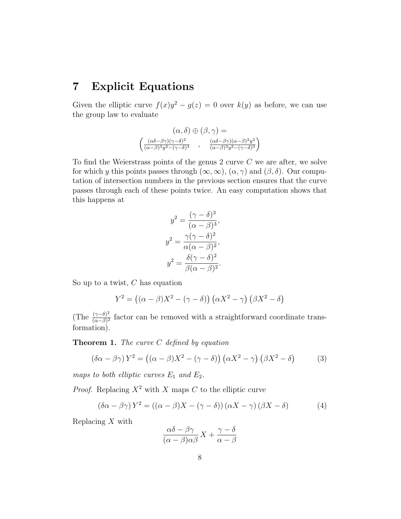## 7 Explicit Equations

Given the elliptic curve  $f(x)y^2 - g(z) = 0$  over  $k(y)$  as before, we can use the group law to evaluate

$$
(\alpha, \delta) \oplus (\beta, \gamma) =
$$

$$
\begin{pmatrix} \frac{(\alpha\delta - \beta\gamma)(\gamma - \delta)^2}{(\alpha - \beta)^3 y^2 - (\gamma - \delta)^3} & , \frac{(\alpha\delta - \beta\gamma)(\alpha - \beta)^2 y^2}{(\alpha - \beta)^3 y^2 - (\gamma - \delta)^3} \end{pmatrix}
$$

To find the Weierstrass points of the genus  $2$  curve  $C$  we are after, we solve for which y this points passes through  $(\infty, \infty)$ ,  $(\alpha, \gamma)$  and  $(\beta, \delta)$ . Our computation of intersection numbers in the previous section ensures that the curve passes through each of these points twice. An easy computation shows that this happens at

$$
y^{2} = \frac{(\gamma - \delta)^{3}}{(\alpha - \beta)^{3}},
$$

$$
y^{2} = \frac{\gamma(\gamma - \delta)^{2}}{\alpha(\alpha - \beta)^{2}},
$$

$$
y^{2} = \frac{\delta(\gamma - \delta)^{2}}{\beta(\alpha - \beta)^{2}}.
$$

So up to a twist,  $C$  has equation

$$
Y^{2} = ((\alpha - \beta)X^{2} - (\gamma - \delta)) (\alpha X^{2} - \gamma) (\beta X^{2} - \delta)
$$

(The  $\frac{(\gamma-\delta)^2}{(\alpha-\beta)^2}$  $\frac{(\gamma-\delta)^2}{(\alpha-\beta)^2}$  factor can be removed with a straightforward coordinate transformation).

**Theorem 1.** The curve  $C$  defined by equation

<span id="page-7-1"></span>
$$
(\delta \alpha - \beta \gamma) Y^2 = ((\alpha - \beta)X^2 - (\gamma - \delta)) (\alpha X^2 - \gamma) (\beta X^2 - \delta)
$$
 (3)

maps to both elliptic curves  $E_1$  and  $E_2$ .

*Proof.* Replacing  $X^2$  with X maps C to the elliptic curve

<span id="page-7-0"></span>
$$
(\delta \alpha - \beta \gamma) Y^2 = ((\alpha - \beta)X - (\gamma - \delta)) (\alpha X - \gamma) (\beta X - \delta)
$$
 (4)

Replacing  $X$  with

$$
\frac{\alpha\delta - \beta\gamma}{(\alpha - \beta)\alpha\beta}X + \frac{\gamma - \delta}{\alpha - \beta}
$$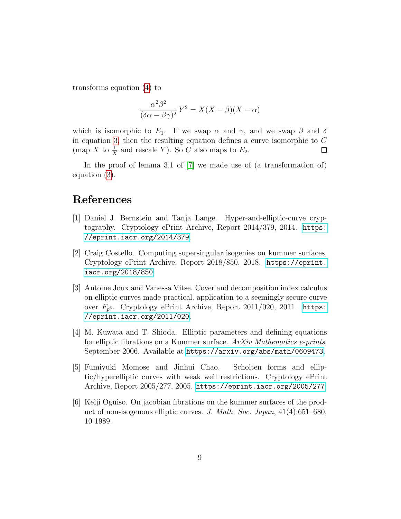transforms equation [\(4\)](#page-7-0) to

$$
\frac{\alpha^2 \beta^2}{(\delta \alpha - \beta \gamma)^2} Y^2 = X(X - \beta)(X - \alpha)
$$

which is isomorphic to  $E_1$ . If we swap  $\alpha$  and  $\gamma$ , and we swap  $\beta$  and  $\delta$ in equation [3,](#page-7-1) then the resulting equation defines a curve isomorphic to  $C$ (map X to  $\frac{1}{X}$  and rescale Y). So C also maps to  $E_2$ .  $\Box$ 

In the proof of lemma 3.1 of [\[7\]](#page-9-0) we made use of (a transformation of) equation [\(3\)](#page-7-1).

# References

- <span id="page-8-1"></span>[1] Daniel J. Bernstein and Tanja Lange. Hyper-and-elliptic-curve cryptography. Cryptology ePrint Archive, Report 2014/379, 2014. [https:](https://eprint.iacr.org/2014/379) [//eprint.iacr.org/2014/379](https://eprint.iacr.org/2014/379).
- <span id="page-8-3"></span>[2] Craig Costello. Computing supersingular isogenies on kummer surfaces. Cryptology ePrint Archive, Report 2018/850, 2018. [https://eprint.](https://eprint.iacr.org/2018/850) [iacr.org/2018/850](https://eprint.iacr.org/2018/850).
- <span id="page-8-2"></span>[3] Antoine Joux and Vanessa Vitse. Cover and decomposition index calculus on elliptic curves made practical. application to a seemingly secure curve over  $F_{p^6}$ . Cryptology ePrint Archive, Report 2011/020, 2011. [https:](https://eprint.iacr.org/2011/020) [//eprint.iacr.org/2011/020](https://eprint.iacr.org/2011/020).
- <span id="page-8-4"></span>[4] M. Kuwata and T. Shioda. Elliptic parameters and defining equations for elliptic fibrations on a Kummer surface. ArXiv Mathematics e-prints, September 2006. Available at <https://arxiv.org/abs/math/0609473>.
- <span id="page-8-0"></span>[5] Fumiyuki Momose and Jinhui Chao. Scholten forms and elliptic/hyperelliptic curves with weak weil restrictions. Cryptology ePrint Archive, Report 2005/277, 2005. <https://eprint.iacr.org/2005/277>.
- <span id="page-8-5"></span>[6] Keiji Oguiso. On jacobian fibrations on the kummer surfaces of the product of non-isogenous elliptic curves. J. Math. Soc. Japan, 41(4):651–680, 10 1989.